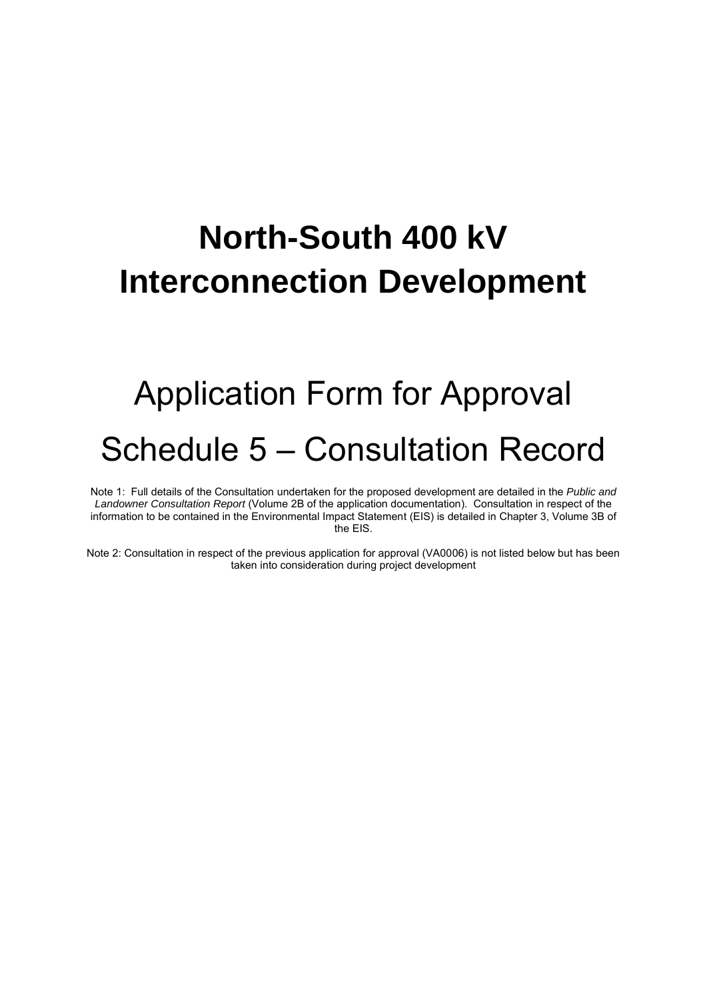## **North-South 400 kV Interconnection Development**

## Application Form for Approval Schedule 5 – Consultation Record

Note 1: Full details of the Consultation undertaken for the proposed development are detailed in the *Public and Landowner Consultation Report* (Volume 2B of the application documentation). Consultation in respect of the information to be contained in the Environmental Impact Statement (EIS) is detailed in Chapter 3, Volume 3B of the EIS.

Note 2: Consultation in respect of the previous application for approval (VA0006) is not listed below but has been taken into consideration during project development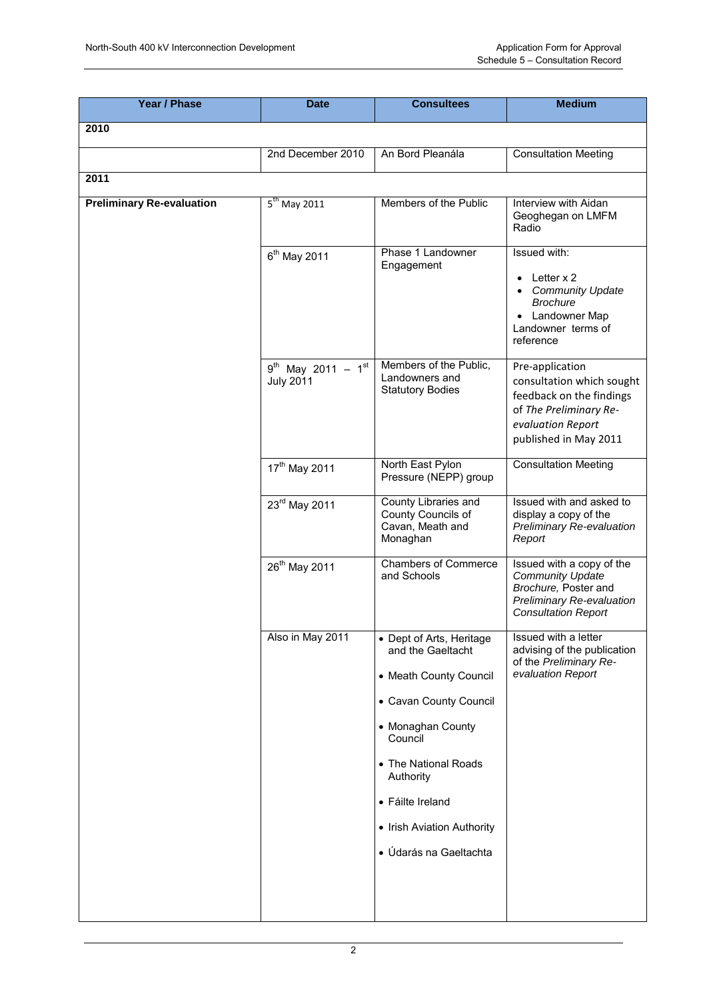| <b>Year / Phase</b>              | <b>Date</b>                                 | <b>Consultees</b>                                                                                                                                                                                                                                  | <b>Medium</b>                                                                                                                                    |
|----------------------------------|---------------------------------------------|----------------------------------------------------------------------------------------------------------------------------------------------------------------------------------------------------------------------------------------------------|--------------------------------------------------------------------------------------------------------------------------------------------------|
| 2010                             |                                             |                                                                                                                                                                                                                                                    |                                                                                                                                                  |
|                                  | 2nd December 2010                           | An Bord Pleanála                                                                                                                                                                                                                                   | <b>Consultation Meeting</b>                                                                                                                      |
| 2011                             |                                             |                                                                                                                                                                                                                                                    |                                                                                                                                                  |
| <b>Preliminary Re-evaluation</b> | $5th$ May 2011                              | Members of the Public                                                                                                                                                                                                                              | Interview with Aidan<br>Geoghegan on LMFM<br>Radio                                                                                               |
|                                  | 6 <sup>th</sup> May 2011                    | Phase 1 Landowner<br>Engagement                                                                                                                                                                                                                    | Issued with:<br>Letter x 2<br><b>Community Update</b><br>$\bullet$<br><b>Brochure</b><br>• Landowner Map<br>Landowner terms of<br>reference      |
|                                  | $9^{th}$ May 2011 - 1st<br><b>July 2011</b> | Members of the Public,<br>Landowners and<br><b>Statutory Bodies</b>                                                                                                                                                                                | Pre-application<br>consultation which sought<br>feedback on the findings<br>of The Preliminary Re-<br>evaluation Report<br>published in May 2011 |
|                                  | 17 <sup>th</sup> May 2011                   | North East Pylon<br>Pressure (NEPP) group                                                                                                                                                                                                          | <b>Consultation Meeting</b>                                                                                                                      |
|                                  | 23rd May 2011                               | County Libraries and<br>County Councils of<br>Cavan, Meath and<br>Monaghan                                                                                                                                                                         | Issued with and asked to<br>display a copy of the<br>Preliminary Re-evaluation<br>Report                                                         |
|                                  | 26 <sup>th</sup> May 2011                   | <b>Chambers of Commerce</b><br>and Schools                                                                                                                                                                                                         | Issued with a copy of the<br><b>Community Update</b><br>Brochure, Poster and<br>Preliminary Re-evaluation<br><b>Consultation Report</b>          |
|                                  | Also in May 2011                            | • Dept of Arts, Heritage<br>and the Gaeltacht<br>• Meath County Council<br>• Cavan County Council<br>• Monaghan County<br>Council<br>• The National Roads<br>Authority<br>• Fáilte Ireland<br>• Irish Aviation Authority<br>· Údarás na Gaeltachta | Issued with a letter<br>advising of the publication<br>of the Preliminary Re-<br>evaluation Report                                               |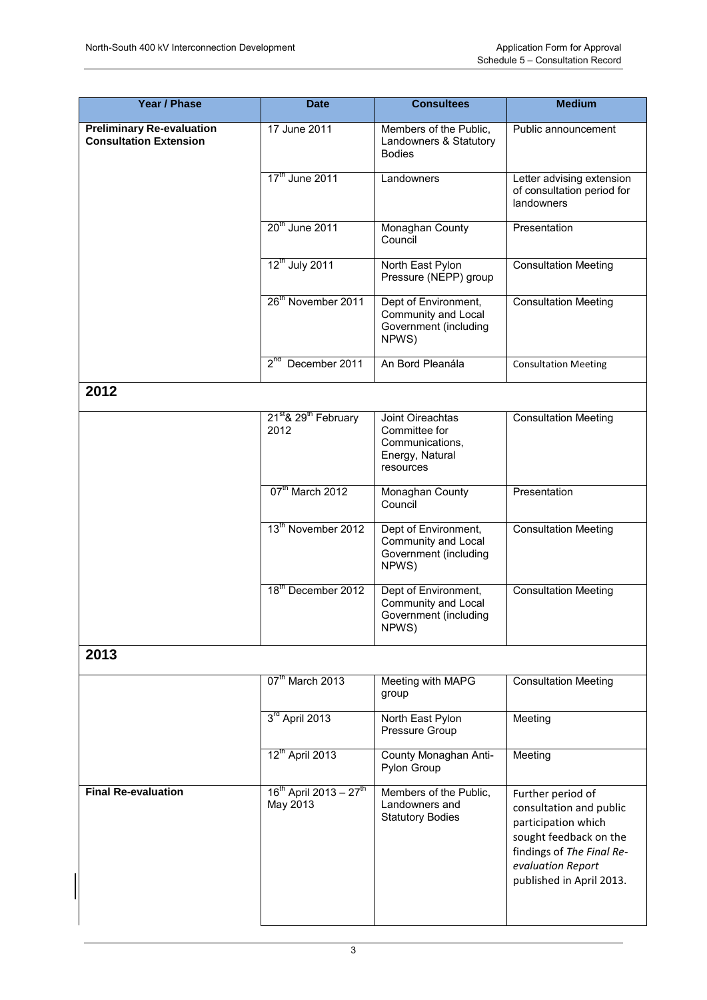| Year / Phase                                                      | <b>Date</b>                                          | <b>Consultees</b>                                                                    | <b>Medium</b>                                                                                                                                                               |
|-------------------------------------------------------------------|------------------------------------------------------|--------------------------------------------------------------------------------------|-----------------------------------------------------------------------------------------------------------------------------------------------------------------------------|
| <b>Preliminary Re-evaluation</b><br><b>Consultation Extension</b> | 17 June 2011                                         | Members of the Public,<br>Landowners & Statutory<br><b>Bodies</b>                    | Public announcement                                                                                                                                                         |
|                                                                   | 17 <sup>th</sup> June 2011                           | Landowners                                                                           | Letter advising extension<br>of consultation period for<br>landowners                                                                                                       |
|                                                                   | 20 <sup>th</sup> June 2011                           | Monaghan County<br>Council                                                           | Presentation                                                                                                                                                                |
|                                                                   | 12 <sup>th</sup> July 2011                           | North East Pylon<br>Pressure (NEPP) group                                            | <b>Consultation Meeting</b>                                                                                                                                                 |
|                                                                   | 26 <sup>th</sup> November 2011                       | Dept of Environment,<br>Community and Local<br>Government (including<br>NPWS)        | <b>Consultation Meeting</b>                                                                                                                                                 |
|                                                                   | 2 <sup>nd</sup> December 2011                        | An Bord Pleanála                                                                     | <b>Consultation Meeting</b>                                                                                                                                                 |
| 2012                                                              |                                                      |                                                                                      |                                                                                                                                                                             |
|                                                                   | 21 <sup>st</sup> & 29 <sup>th</sup> February<br>2012 | Joint Oireachtas<br>Committee for<br>Communications,<br>Energy, Natural<br>resources | <b>Consultation Meeting</b>                                                                                                                                                 |
|                                                                   | 07 <sup>th</sup> March 2012                          | Monaghan County<br>Council                                                           | Presentation                                                                                                                                                                |
|                                                                   | 13 <sup>th</sup> November 2012                       | Dept of Environment,<br>Community and Local<br>Government (including<br>NPWS)        | <b>Consultation Meeting</b>                                                                                                                                                 |
|                                                                   | 18 <sup>th</sup> December 2012                       | Dept of Environment,<br>Community and Local<br>Government (including<br>NPWS)        | <b>Consultation Meeting</b>                                                                                                                                                 |
| 2013                                                              |                                                      |                                                                                      |                                                                                                                                                                             |
|                                                                   | 07 <sup>th</sup> March 2013                          | Meeting with MAPG<br>group                                                           | <b>Consultation Meeting</b>                                                                                                                                                 |
|                                                                   | 3 <sup>rd</sup> April 2013                           | North East Pylon<br>Pressure Group                                                   | Meeting                                                                                                                                                                     |
|                                                                   | 12 <sup>th</sup> April 2013                          | County Monaghan Anti-<br>Pylon Group                                                 | Meeting                                                                                                                                                                     |
| <b>Final Re-evaluation</b>                                        | $16^{th}$ April 2013 - 27 <sup>th</sup><br>May 2013  | Members of the Public,<br>Landowners and<br><b>Statutory Bodies</b>                  | Further period of<br>consultation and public<br>participation which<br>sought feedback on the<br>findings of The Final Re-<br>evaluation Report<br>published in April 2013. |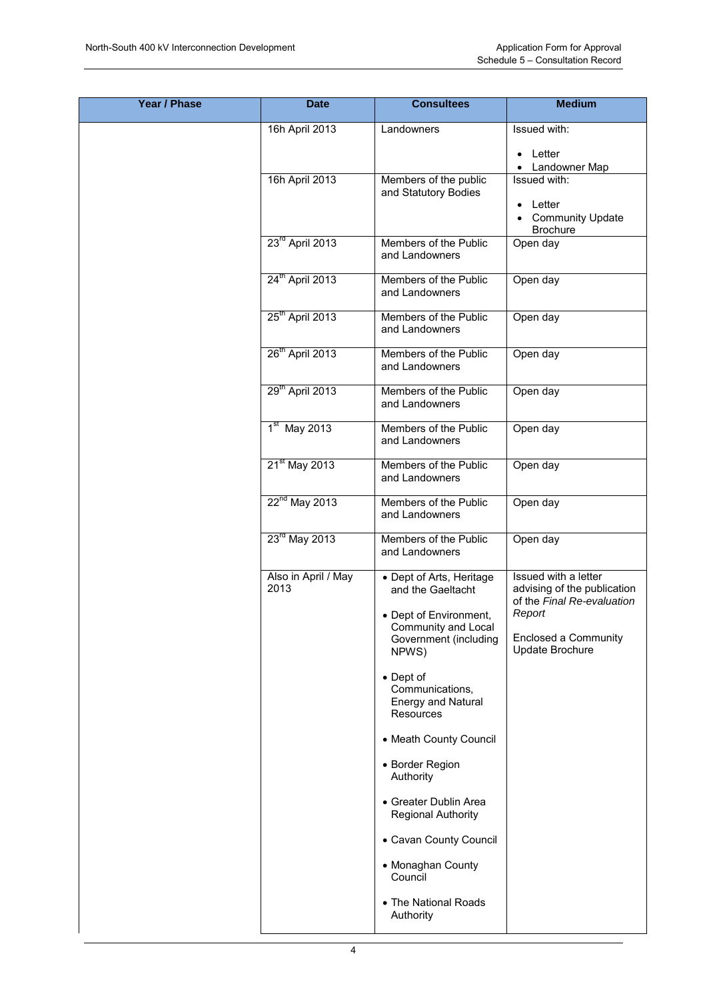| <b>Year / Phase</b> | <b>Date</b>                 | <b>Consultees</b>                                                                                                                                     | <b>Medium</b>                                                                                                                          |
|---------------------|-----------------------------|-------------------------------------------------------------------------------------------------------------------------------------------------------|----------------------------------------------------------------------------------------------------------------------------------------|
|                     | 16h April 2013              | Landowners                                                                                                                                            | Issued with:                                                                                                                           |
|                     |                             |                                                                                                                                                       | Letter<br>$\bullet$                                                                                                                    |
|                     | 16h April 2013              | Members of the public<br>and Statutory Bodies                                                                                                         | • Landowner Map<br>Issued with:<br>Letter<br><b>Community Update</b><br>$\bullet$<br><b>Brochure</b>                                   |
|                     | 23 <sup>rd</sup> April 2013 | Members of the Public<br>and Landowners                                                                                                               | Open day                                                                                                                               |
|                     | 24 <sup>th</sup> April 2013 | Members of the Public<br>and Landowners                                                                                                               | Open day                                                                                                                               |
|                     | 25 <sup>th</sup> April 2013 | Members of the Public<br>and Landowners                                                                                                               | Open day                                                                                                                               |
|                     | 26 <sup>th</sup> April 2013 | Members of the Public<br>and Landowners                                                                                                               | Open day                                                                                                                               |
|                     | 29 <sup>th</sup> April 2013 | Members of the Public<br>and Landowners                                                                                                               | Open day                                                                                                                               |
|                     | $1st$ May 2013              | Members of the Public<br>and Landowners                                                                                                               | Open day                                                                                                                               |
|                     | 21 <sup>st</sup> May 2013   | Members of the Public<br>and Landowners                                                                                                               | Open day                                                                                                                               |
|                     | 22 <sup>nd</sup> May 2013   | Members of the Public<br>and Landowners                                                                                                               | Open day                                                                                                                               |
|                     | 23 <sup>rd</sup> May 2013   | Members of the Public<br>and Landowners                                                                                                               | Open day                                                                                                                               |
|                     | Also in April / May<br>2013 | • Dept of Arts, Heritage<br>and the Gaeltacht<br>• Dept of Environment,<br>Community and Local<br>Government (including<br>NPWS)<br>$\bullet$ Dept of | Issued with a letter<br>advising of the publication<br>of the Final Re-evaluation<br>Report<br>Enclosed a Community<br>Update Brochure |
|                     |                             | Communications,<br><b>Energy and Natural</b><br>Resources                                                                                             |                                                                                                                                        |
|                     |                             | • Meath County Council                                                                                                                                |                                                                                                                                        |
|                     |                             | • Border Region<br>Authority                                                                                                                          |                                                                                                                                        |
|                     |                             | • Greater Dublin Area<br><b>Regional Authority</b>                                                                                                    |                                                                                                                                        |
|                     |                             | • Cavan County Council                                                                                                                                |                                                                                                                                        |
|                     |                             | • Monaghan County<br>Council                                                                                                                          |                                                                                                                                        |
|                     |                             | • The National Roads<br>Authority                                                                                                                     |                                                                                                                                        |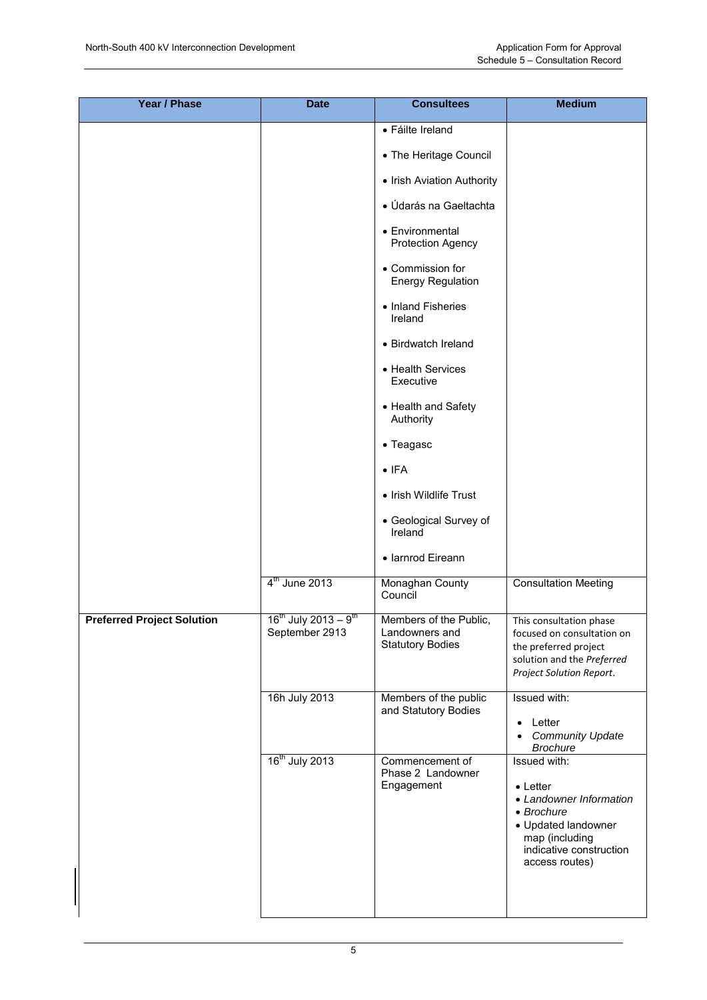| <b>Year / Phase</b>               | <b>Date</b>                                             | <b>Consultees</b>                                                   | <b>Medium</b>                                                                                                                                                   |
|-----------------------------------|---------------------------------------------------------|---------------------------------------------------------------------|-----------------------------------------------------------------------------------------------------------------------------------------------------------------|
|                                   |                                                         | • Fáilte Ireland                                                    |                                                                                                                                                                 |
|                                   |                                                         | • The Heritage Council                                              |                                                                                                                                                                 |
|                                   |                                                         | • Irish Aviation Authority                                          |                                                                                                                                                                 |
|                                   |                                                         | • Údarás na Gaeltachta                                              |                                                                                                                                                                 |
|                                   |                                                         | • Environmental<br><b>Protection Agency</b>                         |                                                                                                                                                                 |
|                                   |                                                         | • Commission for<br><b>Energy Regulation</b>                        |                                                                                                                                                                 |
|                                   |                                                         | • Inland Fisheries<br>Ireland                                       |                                                                                                                                                                 |
|                                   |                                                         | • Birdwatch Ireland                                                 |                                                                                                                                                                 |
|                                   |                                                         | • Health Services<br>Executive                                      |                                                                                                                                                                 |
|                                   |                                                         | • Health and Safety<br>Authority                                    |                                                                                                                                                                 |
|                                   |                                                         | • Teagasc                                                           |                                                                                                                                                                 |
|                                   |                                                         | $\bullet$ IFA                                                       |                                                                                                                                                                 |
|                                   |                                                         | • Irish Wildlife Trust                                              |                                                                                                                                                                 |
|                                   |                                                         | • Geological Survey of<br>Ireland                                   |                                                                                                                                                                 |
|                                   |                                                         | · Iarnrod Eireann                                                   |                                                                                                                                                                 |
|                                   | 4 <sup>th</sup> June 2013                               | Monaghan County<br>Council                                          | <b>Consultation Meeting</b>                                                                                                                                     |
| <b>Preferred Project Solution</b> | $16^{th}$ July 2013 – 9 <sup>th</sup><br>September 2913 | Members of the Public,<br>Landowners and<br><b>Statutory Bodies</b> | This consultation phase<br>focused on consultation on<br>the preferred project<br>solution and the Preferred<br>Project Solution Report.                        |
|                                   | 16h July 2013                                           | Members of the public<br>and Statutory Bodies                       | Issued with:<br>Letter<br><b>Community Update</b><br><b>Brochure</b>                                                                                            |
|                                   | 16 <sup>th</sup> July 2013                              | Commencement of<br>Phase 2 Landowner<br>Engagement                  | Issued with:<br>$\bullet$ Letter<br>• Landowner Information<br>• Brochure<br>• Updated landowner<br>map (including<br>indicative construction<br>access routes) |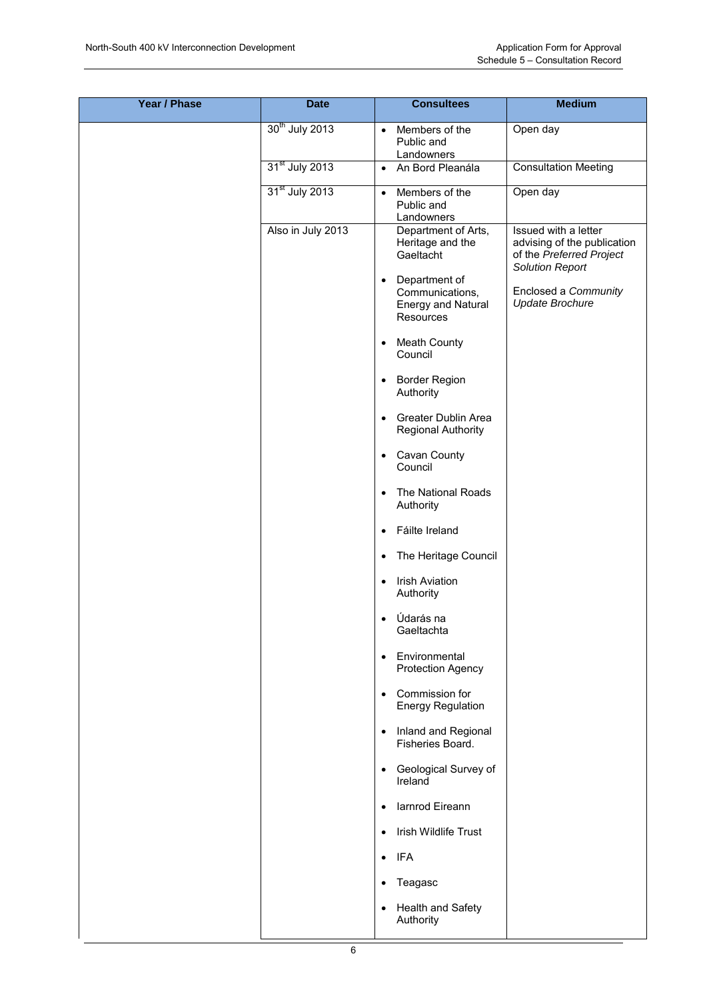| <b>Year / Phase</b> | <b>Date</b>                | <b>Consultees</b>                                                                       | <b>Medium</b>                                                                                             |
|---------------------|----------------------------|-----------------------------------------------------------------------------------------|-----------------------------------------------------------------------------------------------------------|
|                     | 30 <sup>th</sup> July 2013 | Members of the<br>$\bullet$<br>Public and<br>Landowners                                 | Open day                                                                                                  |
|                     | 31 <sup>st</sup> July 2013 | An Bord Pleanála<br>$\bullet$                                                           | <b>Consultation Meeting</b>                                                                               |
|                     | 31 <sup>st</sup> July 2013 | Members of the<br>$\bullet$<br>Public and<br>Landowners                                 | Open day                                                                                                  |
|                     | Also in July 2013          | Department of Arts,<br>Heritage and the<br>Gaeltacht                                    | Issued with a letter<br>advising of the publication<br>of the Preferred Project<br><b>Solution Report</b> |
|                     |                            | Department of<br>$\bullet$<br>Communications,<br><b>Energy and Natural</b><br>Resources | Enclosed a Community<br><b>Update Brochure</b>                                                            |
|                     |                            | <b>Meath County</b><br>٠<br>Council                                                     |                                                                                                           |
|                     |                            | Border Region<br>$\bullet$<br>Authority                                                 |                                                                                                           |
|                     |                            | <b>Greater Dublin Area</b><br>$\bullet$<br><b>Regional Authority</b>                    |                                                                                                           |
|                     |                            | Cavan County<br>$\bullet$<br>Council                                                    |                                                                                                           |
|                     |                            | The National Roads<br>$\bullet$<br>Authority                                            |                                                                                                           |
|                     |                            | Fáilte Ireland<br>$\bullet$                                                             |                                                                                                           |
|                     |                            | The Heritage Council<br>$\bullet$                                                       |                                                                                                           |
|                     |                            | <b>Irish Aviation</b><br>$\bullet$<br>Authority                                         |                                                                                                           |
|                     |                            | Údarás na<br>$\bullet$<br>Gaeltachta                                                    |                                                                                                           |
|                     |                            | Environmental<br>$\bullet$<br><b>Protection Agency</b>                                  |                                                                                                           |
|                     |                            | Commission for<br>$\bullet$<br><b>Energy Regulation</b>                                 |                                                                                                           |
|                     |                            | Inland and Regional<br>$\bullet$<br>Fisheries Board.                                    |                                                                                                           |
|                     |                            | Geological Survey of<br>$\bullet$<br>Ireland                                            |                                                                                                           |
|                     |                            | larnrod Eireann<br>$\bullet$                                                            |                                                                                                           |
|                     |                            | Irish Wildlife Trust<br>$\bullet$                                                       |                                                                                                           |
|                     |                            | $\bullet$ IFA                                                                           |                                                                                                           |
|                     |                            | Teagasc<br>$\bullet$                                                                    |                                                                                                           |
|                     |                            | <b>Health and Safety</b><br>$\bullet$<br>Authority                                      |                                                                                                           |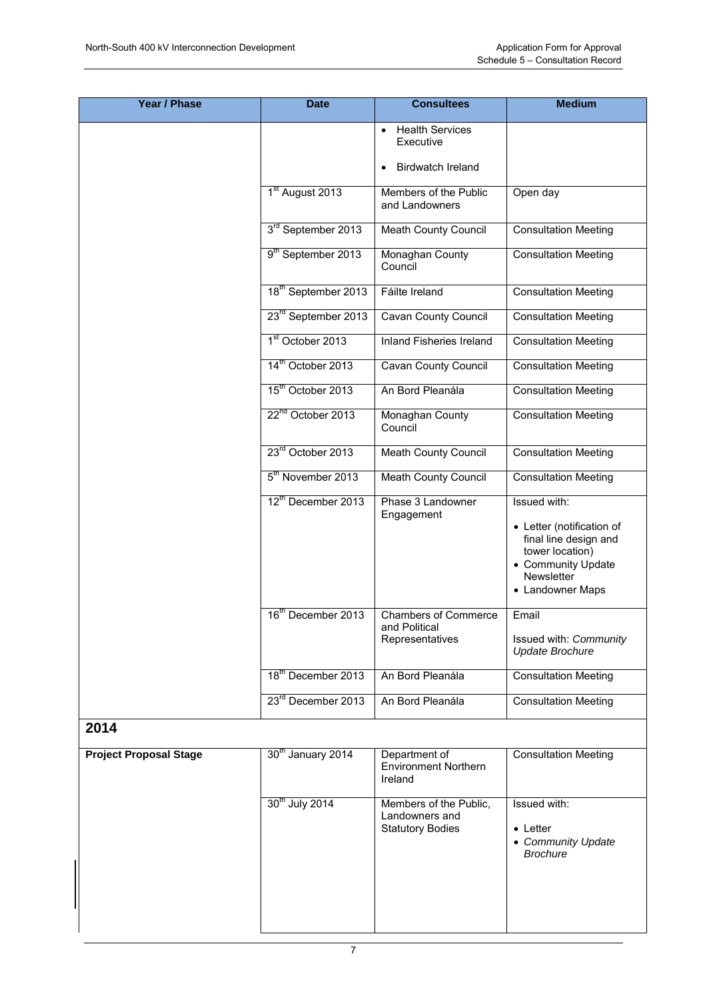| Year / Phase                  | <b>Date</b>                     | <b>Consultees</b>                                               | <b>Medium</b>                                                                                                                                 |
|-------------------------------|---------------------------------|-----------------------------------------------------------------|-----------------------------------------------------------------------------------------------------------------------------------------------|
|                               |                                 | <b>Health Services</b><br>$\bullet$<br>Executive                |                                                                                                                                               |
|                               |                                 | <b>Birdwatch Ireland</b><br>$\bullet$                           |                                                                                                                                               |
|                               | 1 <sup>st</sup> August 2013     | Members of the Public<br>and Landowners                         | Open day                                                                                                                                      |
|                               | 3 <sup>rd</sup> September 2013  | Meath County Council                                            | <b>Consultation Meeting</b>                                                                                                                   |
|                               | 9 <sup>th</sup> September 2013  | Monaghan County<br>Council                                      | <b>Consultation Meeting</b>                                                                                                                   |
|                               | 18 <sup>th</sup> September 2013 | Fáilte Ireland                                                  | <b>Consultation Meeting</b>                                                                                                                   |
|                               | 23 <sup>rd</sup> September 2013 | Cavan County Council                                            | <b>Consultation Meeting</b>                                                                                                                   |
|                               | 1 <sup>st</sup> October 2013    | Inland Fisheries Ireland                                        | <b>Consultation Meeting</b>                                                                                                                   |
|                               | 14 <sup>th</sup> October 2013   | Cavan County Council                                            | <b>Consultation Meeting</b>                                                                                                                   |
|                               | 15 <sup>th</sup> October 2013   | An Bord Pleanála                                                | <b>Consultation Meeting</b>                                                                                                                   |
|                               | 22 <sup>nd</sup> October 2013   | Monaghan County<br>Council                                      | <b>Consultation Meeting</b>                                                                                                                   |
|                               | 23rd October 2013               | Meath County Council                                            | <b>Consultation Meeting</b>                                                                                                                   |
|                               | 5 <sup>th</sup> November 2013   | Meath County Council                                            | <b>Consultation Meeting</b>                                                                                                                   |
|                               | 12th December 2013              | Phase 3 Landowner<br>Engagement                                 | Issued with:<br>• Letter (notification of<br>final line design and<br>tower location)<br>• Community Update<br>Newsletter<br>• Landowner Maps |
|                               | 16 <sup>th</sup> December 2013  | <b>Chambers of Commerce</b><br>and Political<br>Representatives | Email<br>Issued with: Community<br><b>Update Brochure</b>                                                                                     |
|                               | 18 <sup>th</sup> December 2013  | An Bord Pleanála                                                | <b>Consultation Meeting</b>                                                                                                                   |
|                               | 23 <sup>rd</sup> December 2013  | An Bord Pleanála                                                | <b>Consultation Meeting</b>                                                                                                                   |
| 2014                          |                                 |                                                                 |                                                                                                                                               |
| <b>Project Proposal Stage</b> | 30th January 2014               | Department of<br>Environment Northern                           | <b>Consultation Meeting</b>                                                                                                                   |

| <b>Project Proposal Stage</b> | 30th January 2014 | Department of<br><b>Environment Northern</b><br>Ireland             | <b>Consultation Meeting</b>                                               |  |
|-------------------------------|-------------------|---------------------------------------------------------------------|---------------------------------------------------------------------------|--|
|                               | 30th July 2014    | Members of the Public,<br>Landowners and<br><b>Statutory Bodies</b> | Issued with:<br>$\bullet$ Letter<br>• Community Update<br><b>Brochure</b> |  |